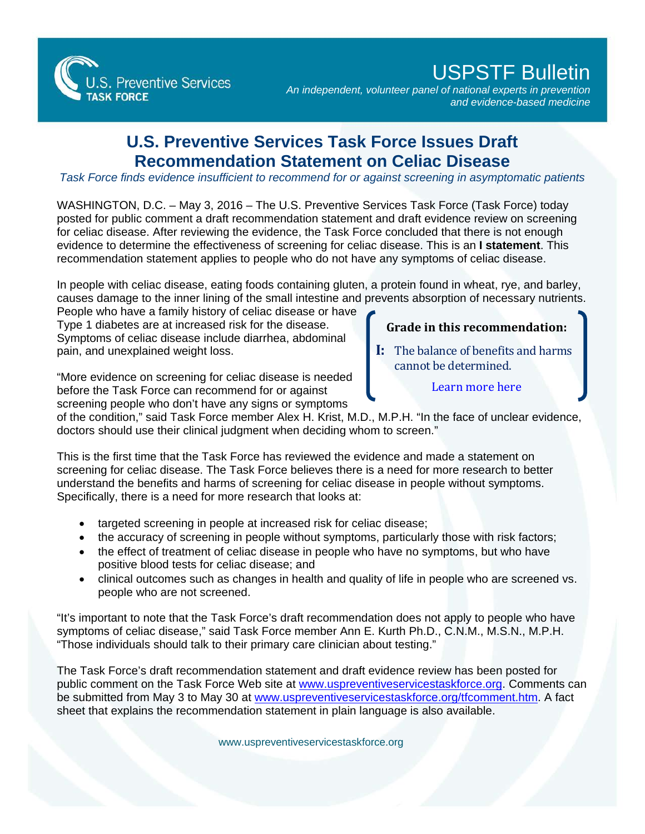

## USPSTF Bulletin

*An independent, volunteer panel of national experts in prevention and evidence-based medicine*

## **U.S. Preventive Services Task Force Issues Draft Recommendation Statement on Celiac Disease**

*Task Force finds evidence insufficient to recommend for or against screening in asymptomatic patients*

WASHINGTON, D.C. – May 3, 2016 – The U.S. Preventive Services Task Force (Task Force) today posted for public comment a draft recommendation statement and draft evidence review on screening for celiac disease. After reviewing the evidence, the Task Force concluded that there is not enough evidence to determine the effectiveness of screening for celiac disease. This is an **I statement**. This recommendation statement applies to people who do not have any symptoms of celiac disease.

In people with celiac disease, eating foods containing gluten, a protein found in wheat, rye, and barley, causes damage to the inner lining of the small intestine and prevents absorption of necessary nutrients.

People who have a family history of celiac disease or have Type 1 diabetes are at increased risk for the disease. Symptoms of celiac disease include diarrhea, abdominal pain, and unexplained weight loss.

"More evidence on screening for celiac disease is needed before the Task Force can recommend for or against screening people who don't have any signs or symptoms

## **Grade in this recommendation:**

- **I:** The balance of benefits and harms cannot be determined.
	- [Learn more here](http://www.uspreventiveservicestaskforce.org/Page/Name/grade-definitions)

of the condition," said Task Force member Alex H. Krist, M.D., M.P.H. "In the face of unclear evidence, doctors should use their clinical judgment when deciding whom to screen."

This is the first time that the Task Force has reviewed the evidence and made a statement on screening for celiac disease. The Task Force believes there is a need for more research to better understand the benefits and harms of screening for celiac disease in people without symptoms. Specifically, there is a need for more research that looks at:

- targeted screening in people at increased risk for celiac disease;
- the accuracy of screening in people without symptoms, particularly those with risk factors;
- the effect of treatment of celiac disease in people who have no symptoms, but who have positive blood tests for celiac disease; and
- clinical outcomes such as changes in health and quality of life in people who are screened vs. people who are not screened.

"It's important to note that the Task Force's draft recommendation does not apply to people who have symptoms of celiac disease," said Task Force member Ann E. Kurth Ph.D., C.N.M., M.S.N., M.P.H. "Those individuals should talk to their primary care clinician about testing."

The Task Force's draft recommendation statement and draft evidence review has been posted for public comment on the Task Force Web site at [www.uspreventiveservicestaskforce.org.](http://www.uspreventiveservicestaskforce.org/) Comments can be submitted from May 3 to May 30 at [www.uspreventiveservicestaskforce.org/tfcomment.htm.](http://www.uspreventiveservicestaskforce.org/tfcomment.htm) A fact sheet that explains the recommendation statement in plain language is also available.

[www.uspreventiveservicestaskforce.org](http://www.uspreventiveservicestaskforce.org/)